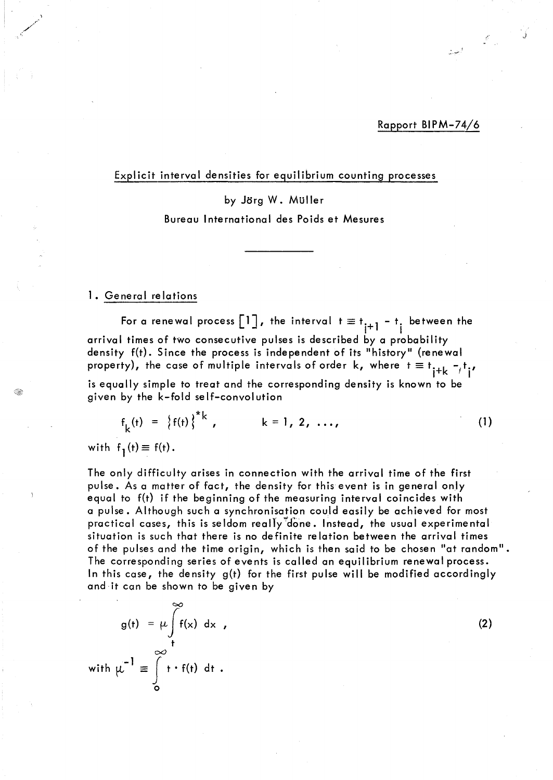Rapport BIPM-74/6

ال<br>المجلسية<br>المسيحية

j

#### Explicit interval densities for equilibrium counting processes

by Jorg W. Müller Bureau International des Poids et Mesures

#### 1. General relations

For a renewal process  $\begin{bmatrix} 1 \end{bmatrix}$ , the interval  $t \equiv t_{i+1} - t_i$  between the arrival times of two consecutive pulses is described by a probability density f(t). Since the process is independent of its "history" (renewal property), the case of multiple intervals of order k, where  $t \equiv t_{j+k} - t_{j}$ , is equally simple to treat and the corresponding density is known to be given by the k-fold self-convolution

$$
f_{k}(t) = \{f(t)\}^{*k}, \qquad k = 1, 2, ..., \qquad (1)
$$

with  $f_1(t) \equiv f(t)$ .

The only difficulty arises in connection with the arrival time of the first pulse. As a matter of fact, the density for this event is in general only equal to f(t) if the beginning of the measuring interval coincides with a pulse. Although such a synchronisation could easily be achieved for most practical cases, this is seldom really done. Instead, the usual experimental situation is such that there is no definite relation between the arrivai times of the pulses and the time origin, which is then said to be chosen "at random". The corresponding series of events is called an equilibrium renewal process. ln this case, the density g(t) for the first pulse will be modified accordingly and it can be shown to be given by

$$
g(t) = \mu \int_{t}^{\infty} f(x) dx,
$$
\n
$$
f(t) = \int_{0}^{\infty} t \cdot f(t) dt.
$$
\n(2)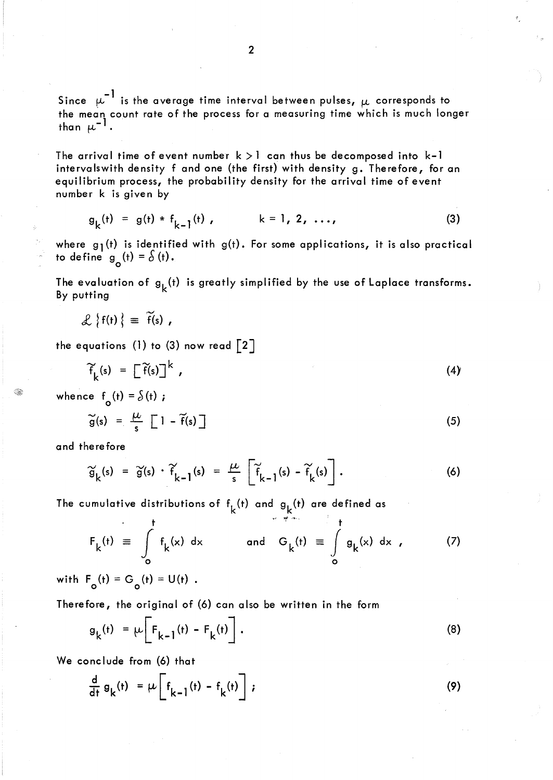Since  $\mu^{-1}$  is the average time interval between pulses,  $\mu$  corresponds to the mean count rate of the process for a measuring time which is much longer than  $\mu^{-1}$  .

The arrival time of event number  $k > 1$  can thus be decomposed into  $k-1$ intervalswith density f and one (the first) with density g. Therefore, for an equilibrium process, the probability density for the arrival time of event number k is given by

$$
g_{k}(t) = g(t) * f_{k-1}(t), \qquad k = 1, 2, ..., \qquad (3)
$$

where  $g_1(t)$  is identified with  $g(t)$ . For some applications, it is also practical to define  $g_0(t) = \delta(t)$ .

The evaluation of  $g_k(t)$  is greatly simplified by the use of Laplace transforms. By putting

$$
\mathcal{L}\left\{f(t)\right\} = \widetilde{f}(s) ,
$$

the equations (1) to (3) now read  $\lceil 2 \rceil$ 

$$
\widetilde{f}_k(s) = \left[\widetilde{f}(s)\right]^k, \qquad (4)
$$

whence  $f_o(t) = \delta(t)$ ;

$$
\widetilde{g}(s) = \frac{\mu}{s} \left[ 1 - \widetilde{f}(s) \right]
$$
 (5)

and therefore

$$
\widetilde{g}_k(s) = \widetilde{g}(s) \cdot \widetilde{f}_{k-1}(s) = \frac{\mu}{s} \left[ \widetilde{f}_{k-1}(s) - \widetilde{f}_k(s) \right]. \tag{6}
$$

The cumulative distributions of  $f_k(t)$  and  $g_k(t)$  are defined as

$$
F_k(t) \equiv \int_0^t f_k(x) dx \qquad \text{and} \quad G_k(t) \equiv \int_0^t g_k(x) dx , \qquad (7)
$$

with  $F_o(t) = G_o(t) = U(t)$ .

Therefore, the original of (6) can also be written in the form

$$
g_k(t) = \mu \left[ F_{k-1}(t) - F_k(t) \right]. \tag{8}
$$

We conclude from (6) that

$$
\frac{d}{dt} g_k(t) = \mu \left[ f_{k-1}(t) - f_k(t) \right];
$$
\n(9)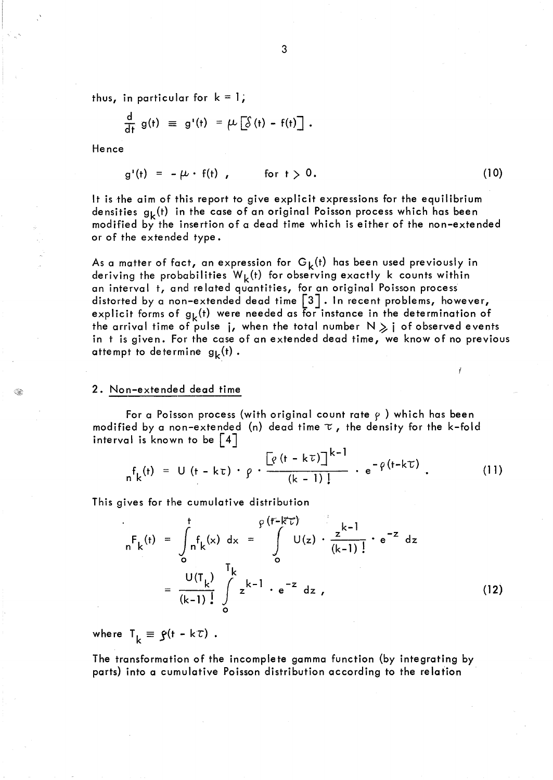thus, in particular for  $k = 1$ ;

$$
\frac{d}{dt} g(t) \equiv g'(t) = \mu \left[ \delta(t) - f(t) \right].
$$

Hence

$$
g'(t) = -\mu \cdot f(t), \qquad \text{for } t > 0. \tag{10}
$$

It is the aim of this report to give explicit expressions for the equilibrium densities  $g_k(t)$  in the case of an original Poisson process which has been modified by the insertion of a dead time which is either of the non-extended or of the extended type.

As a matter of fact, an expression for  $G_k(t)$  has been used previously in deriving the probabilities  $W_k(t)$  for observing exactly k counts within an interval t, and related quantities, for an original Poisson process distorted by a non-extended dead time [3]. In recent problems, however, explicit forms of  $g_k(t)$  were needed as for instance in the determination of the arrival time of pulse j, when the total number  $N \geqslant i$  of observed events in t is given. For the case of an extended dead time, we know of no previous attempt to determine  $g_k(t)$ .

#### 2. Non-extended dead time

For a Poisson process (with original count rate  $\rho$ ) which has been modified by a non-extended (n) dead time  $\tau$ , the density for the k-fold interval is known to be  $\vert 4 \vert$ 

$$
{}_{n}f_{k}(t) = U(t - k\tau) \cdot \rho \cdot \frac{\left[\rho(t - k\tau)\right]^{k-1}}{(k-1)!} \cdot e^{-\rho(t - k\tau)} \ . \tag{11}
$$

This gives for the cumulative distribution

$$
{}_{n}F_{k}(t) = \int_{0}^{t} f_{k}(x) dx = \int_{0}^{e(r-k^{2}t)} U(z) \cdot \frac{z^{k-1}}{(k-1)!} \cdot e^{-z} dz
$$
  

$$
= \frac{U(T_{k})}{(k-1)!} \int_{0}^{T_{k}} z^{k-1} \cdot e^{-z} dz , \qquad (12)
$$

where  $T_k \equiv \zeta(t - k\tau)$ .

The transformation of the incomplete gamma function (by integrating by parts) into a cumulative Poisson distribution according to the relation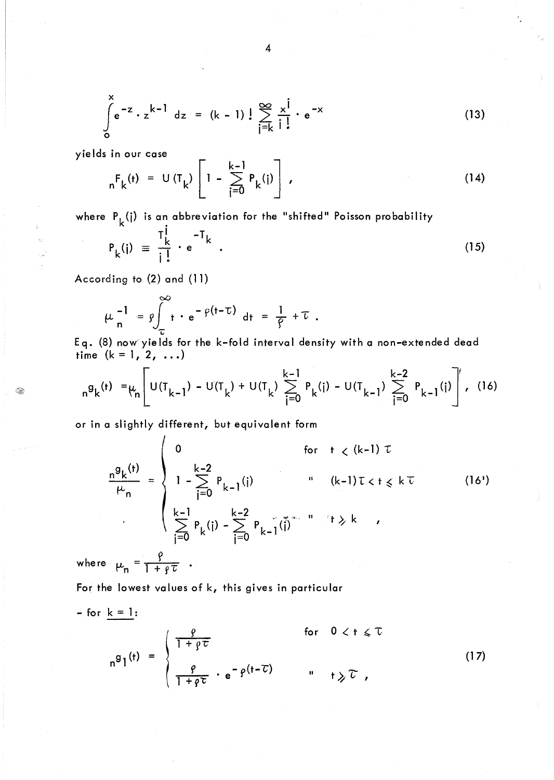$$
\int_{0}^{x} e^{-z} \cdot z^{k-1} dz = (k-1) \cdot \frac{1}{z} \sum_{j=k}^{\infty} \frac{x^{j}}{j \cdot z} e^{-x}
$$
 (13)

yields in our case

$$
_{n}F_{k}(t) = U(T_{k}) \left[1 - \sum_{j=0}^{k-1} P_{k}(j)\right],
$$
 (14)

where  $P_k(i)$  is an abbreviation for the "shifted" Poisson probability

$$
P_k(i) \equiv \frac{T_k^j}{i!} \cdot e^{-T_k} \tag{15}
$$

According to (2) and (11)

G

$$
\mu_n^{-1} = \rho \int_{\tau}^{\infty} t \cdot e^{-\rho(t-\tau)} dt = \frac{1}{\rho} + \tau.
$$

Eq. (8) now' yields for the k-fold interval density with a non-extended dead time  $(k = 1, 2, ...)$ 

$$
{}_{n}g_{k}(t) = \mu_{n} \left[ U(T_{k-1}) - U(T_{k}) + U(T_{k}) \sum_{i=0}^{k-1} P_{k}(i) - U(T_{k-1}) \sum_{i=0}^{k-2} P_{k-1}(i) \right], \quad (16)
$$

or in a slightly different, but equivalent form

$$
\frac{n^{g}k^{(t)}}{\mu_{n}} = \begin{cases}\n0 & \text{for } t < (k-1) \tau \\
1 - \sum_{j=0}^{k-2} P_{k-1}(j) & \text{if } (k-1) \tau < t \leq k \tau \\
\sum_{j=0}^{k-1} P_{k}(j) - \sum_{j=0}^{k-2} P_{k-1}(j) & \text{if } k \neq k\n\end{cases}
$$
\n(16')

where  $\mu_n = \frac{r}{1 + \rho \tau}$ .

For the lowest values of k, this gives in particular

For 
$$
k = 1
$$
:  
\n
$$
n^{g}1^{(t)} = \begin{cases}\n\frac{\rho}{1 + \rho \tau} & \text{for } 0 < t \leq \tau \\
\frac{\rho}{1 + \rho \tau} \cdot e^{-\rho(t - \tau)} & \text{if } t \geq \tau\n\end{cases}
$$
\n(17)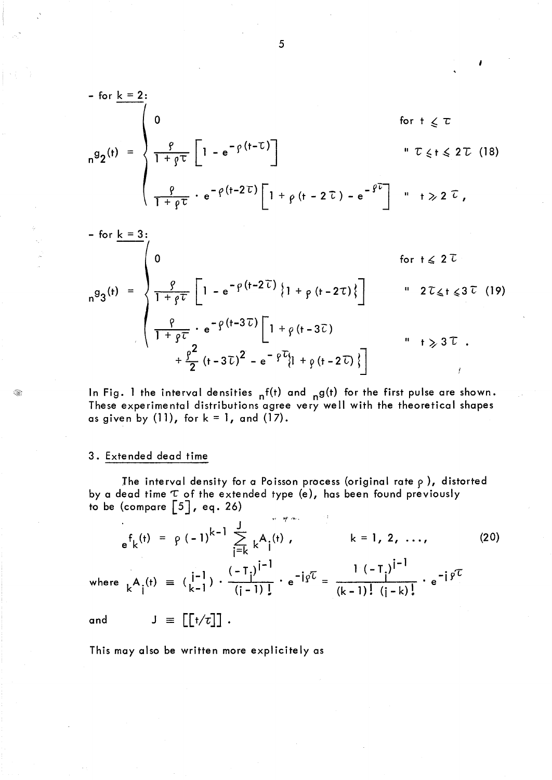$$
- \text{ for } \underline{k} = 2:
$$
\n
$$
n^{g}2^{(t)} = \begin{cases}\n0 & \text{for } t \leq \tau \\
\frac{\rho}{1 + \rho \tau} \left[1 - e^{-\rho(t - \tau)}\right] & \text{if } \tau \leq t \leq 2\tau \quad (18) \\
\frac{\rho}{1 + \rho \tau} \cdot e^{-\rho(t - 2\tau)} \left[1 + \rho(t - 2\tau) - e^{-\rho\tau}\right] & \text{if } \tau \geq 2\tau,\n\end{cases}
$$

$$
- \text{ for } \underline{k} = 3:
$$
\n
$$
n^{g}3^{(t)} = \begin{cases}\n0 & \text{for } t \leq 2^{\tau} \\
\frac{g}{1 + g\tau} \left[1 - e^{-\rho(t - 2\tau)}\left\{1 + \rho(t - 2\tau)\right\}\right] & \text{if } 2^{\tau} \leq t \leq 3^{\tau} \end{cases}
$$
\n
$$
+ \frac{g^{2}}{2} (t - 3\tau)^{2} - e^{-\rho^{2}t} [1 + \rho(t - 2\tau)]
$$
\n
$$
+ \frac{g^{2}}{2} (t - 3\tau)^{2} - e^{-\rho^{2}t} [1 + \rho(t - 2\tau)]
$$
\n
$$
+ \frac{g^{2}}{2} (t - 3\tau)^{2} - e^{-\rho^{2}t} [1 + \rho(t - 2\tau)]
$$

In Fig. 1 the interval densities  $nf(t)$  and  $_ng(t)$  for the first pulse are shown. These experimental distributions agree very well with the theoretical shapes as given by  $(11)$ , for  $k = 1$ , and  $(17)$ .

#### 3. Extended dead time

The interval density for a Poisson process (original rate  $\rho$ ), distorted by a dead time  $\tau$  of the extended type (e), has been found previously to be (compare  $\lceil 5 \rceil$ , eq. 26)

$$
e^{f_k(t)} = \rho (-1)^{k-1} \sum_{j=k}^{J} k^{A_j(t)}, \qquad k = 1, 2, ..., \qquad (20)
$$

where  ${}_{k}A_{i}^{(t)} \equiv \left(\begin{matrix} i-1 \\ k-1 \end{matrix}\right) \cdot \frac{(-T_{i})^{i-1}}{(i-1)!} \cdot e^{-i\gamma t} = \frac{1(-T_{i})^{i-1}}{(k-1)! (i-k)!} \cdot e^{-i\gamma t}$ 

 $J = [[t/\tau]]$ . and

This may also be written more explicitely as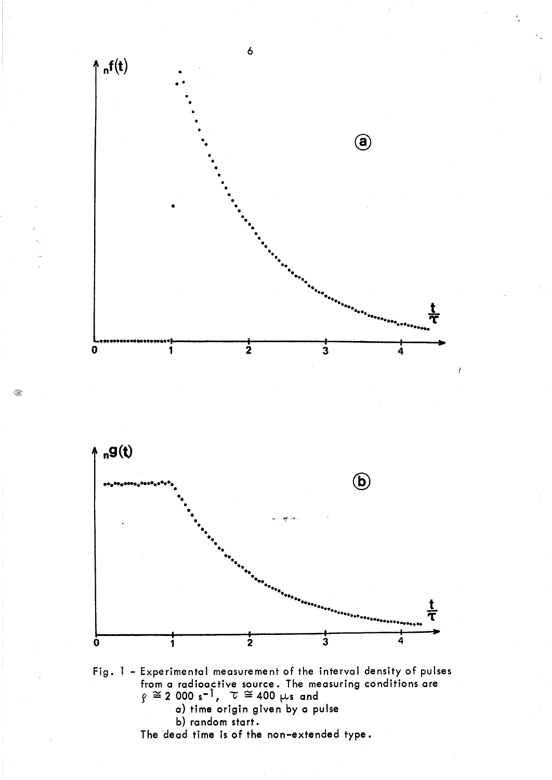

a) time origin given by a pulse b) random start.

The dead time is of the non-extended type.

Q,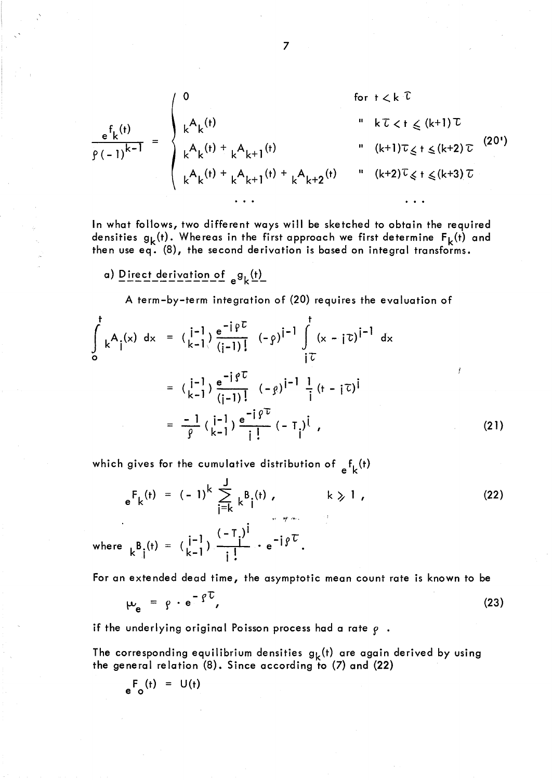$$
\frac{e^{f}k^{(t)}}{f^{(t-1)^{k-1}}} = \begin{cases}\n0 & \text{for } t < k \text{ for } t < k \text{ for } t \text{ is } k \text{ for } t \text{ is } k \text{ for } t \text{ is } k \text{ for } t \text{ is } k \text{ for } t \text{ is } k \text{ for } t \text{ is } k \text{ for } t \text{ is } k \text{ for } t \text{ is } k \text{ for } t \text{ is } k \text{ for } t \text{ is } k \text{ for } t \text{ is } k \text{ for } t \text{ is } k \text{ for } t \text{ is } k \text{ for } t \text{ is } k \text{ for } t \text{ is } k \text{ for } t \text{ is } k \text{ for } t \text{ is } k \text{ for } t \text{ is } k \text{ for } t \text{ is } k \text{ for } t \text{ is } k \text{ for } t \text{ is } k \text{ for } t \text{ is } k \text{ for } t \text{ is } k \text{ for } t \text{ is } k \text{ for } t \text{ is } k \text{ for } t \text{ is } k \text{ for } t \text{ is } k \text{ for } t \text{ is } k \text{ for } t \text{ is } k \text{ for } t \text{ is } k \text{ for } t \text{ is } k \text{ for } t \text{ is } k \text{ for } t \text{ is } k \text{ for } t \text{ is } k \text{ for } t \text{ is } k \text{ for } t \text{ is } k \text{ for } t \text{ is } k \text{ for } t \text{ is } k \text{ for } t \text{ is } k \text{ for } t \text{ is } k \text{ for } t \text{ is } k \text{ for } t \text{ is } k \text{ for } t \text{ is } k \text{ for } t \text{ is } k \text{ for } t \text{ is } k \text{ for } t \text{ is } k \text{ for } t \text{ is } k \text{ for } t \text{ is } k \text{ for } t \text{ is } k \text{ for } t \text{ is } k \text{ for } t \text{ is } k \text{ for } t \text{ is } k \text{ for } t \text{ is } k \text{ for } t \text{ is } k \text{ for } t \text{ is } k \text{ for } t \text{ is } k \text{ for } t \text{ is } k \text{ for } t \text{ is } k \text{ for } t \text{ is } k \text
$$

In what follows, two different ways will be sketched to obtain the required densities  $g_k(t)$ . Whereas in the first approach we first determine  $F_k(t)$  and then use eq. (8), the second derivation is based on integral transforms.

a) Direct derivation of  $e^{g}$ (t)

A term-by-term integration of (20) requires the evaluation of

$$
\int_{0}^{t} k^{A} i^{(x)} dx = (\begin{array}{c} i^{-1} \\ k^{-1} \end{array}) \frac{e^{-i \rho U}}{(i-1)!} (-\rho)^{i-1} \int_{i}^{t} (x - i \tau)^{i-1} dx
$$
  
\n
$$
= (\begin{array}{c} i^{-1} \\ k^{-1} \end{array}) \frac{e^{-i \rho U}}{(i-1)!} (-\rho)^{i-1} \frac{1}{i} (i - i \tau)^{i}
$$
  
\n
$$
= \frac{-1}{\rho} (\begin{array}{c} i^{-1} \\ k^{-1} \end{array}) \frac{e^{-i \rho U}}{i!} (-T_{i})^{i}, \qquad (21)
$$

which gives for the cumulative distribution of  $_{\beta}f_{k}(t)$ 

$$
e^{F}k^{(t)} = (-1)^{k} \sum_{j=k}^{J} k^{B}j^{(t)}, \qquad k \geq 1,
$$
\nwhere 
$$
k^{B}j^{(t)} = (\frac{j-1}{k-1}) \frac{(-Tj)^{j}}{j!} \cdot e^{-j\beta^{T}}.
$$
\n(22)

For an extended dead time, the asymptotic mean count rate is known to be

$$
\mu_{\mathbf{e}} = \rho \cdot \mathbf{e}^{-\rho \mathbf{U}}, \tag{23}
$$

if the underlying original Poisson process had a rate  $\rho$ .

The corresponding equilibrium densities  $g_k(t)$  are again derived by using the general relation (8). Since according to (7) and (22)

$$
e^{\mathsf{F}}_{\mathsf{o}}(\mathsf{t}) = \mathsf{U}(\mathsf{t})
$$

 $\overline{7}$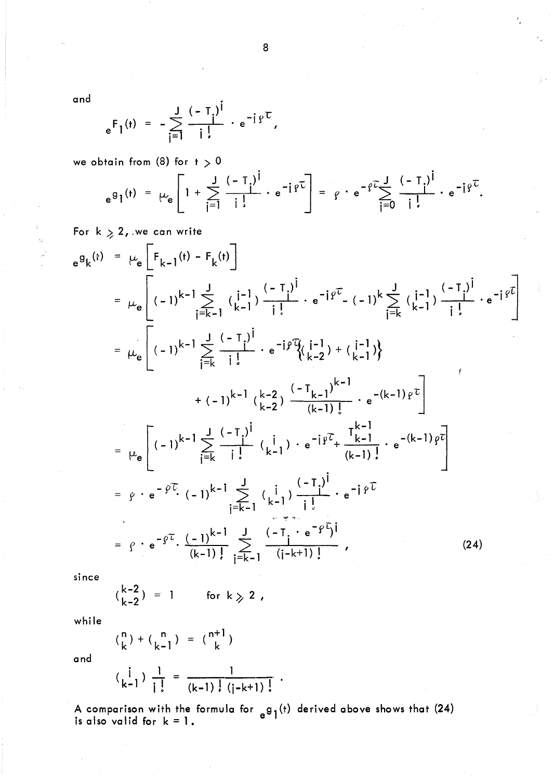and

$$
e^{F_1(t)} = -\sum_{i=1}^{J} \frac{(-T_i)^i}{i!} \cdot e^{-i \beta^{T}},
$$

we obtain from  $(8)$  for  $t > 0$ 

$$
e^{g_1(t)} = \mu_e \left[ 1 + \sum_{i=1}^{J} \frac{(-T_i)^i}{i!} \cdot e^{-i \beta \tau} \right] = \beta \cdot e^{-\beta \tau} \sum_{i=0}^{J} \frac{(-T_i)^i}{i!} \cdot e^{-i \beta \tau}.
$$

For  $k > 2$ , we can write

$$
e^{g}k^{(t)} = \mu_{e}\left[F_{k-1}(t) - F_{k}(t)\right]
$$
\n
$$
= \mu_{e}\left[(-1)^{k-1}\sum_{j=k-1}^{J}\frac{(-1)^{j}}{k-1} - e^{-j\varphi^{T}} - (-1)^{k}\sum_{j=k}^{J}\frac{(-1)^{j}}{k-1} - e^{-j\varphi^{T}}\right]
$$
\n
$$
= \mu_{e}\left[(-1)^{k-1}\sum_{j=k}^{J}\frac{(-1)^{j}}{k} - e^{-j\varphi^{T}}\left(k-2\right) + \left(\frac{1}{k-1}\right)\right]
$$
\n
$$
+ (-1)^{k-1}\left(\frac{k-2}{k-2}\right)\frac{(-1)^{k-1}}{(k-1)!} - e^{-(k-1)\varphi^{T}}\right]
$$
\n
$$
= \mu_{e}\left[(-1)^{k-1}\sum_{j=k}^{J}\frac{(-1)^{j}}{j!}\left(\frac{1}{k-1}\right) - e^{-j\varphi^{T}} + \frac{T_{k-1}^{k-1}}{(k-1)!} - e^{-(k-1)\varphi^{T}}\right]
$$
\n
$$
= \varphi \cdot e^{-\varphi^{T}} \cdot (-1)^{k-1}\sum_{j=k-1}^{J}\left(\frac{1}{k-1}\right)\frac{(-1)^{j}}{j!} - e^{-j\varphi^{T}}
$$
\n
$$
= \varphi \cdot e^{-\varphi^{T}} \cdot \frac{(-1)^{k-1}}{(k-1)!} - \frac{J}{j=k-1}\frac{(-1)^{j}}{(j-k+1)!} - e^{-j\varphi^{T}} \tag{24}
$$

since

$$
\begin{array}{l}\n\text{(k-2)} = 1 \quad \text{for } k \geqslant 2 \end{array}
$$

while

$$
\binom{n}{k} + \binom{n}{k-1} = \binom{n+1}{k}
$$

and

$$
\left(\begin{array}{c} i \\ k-1 \end{array}\right) \frac{1}{i!} = \frac{1}{(k-1)!(j-k+1)!}.
$$

A comparison with the formula for  $g_1(t)$  derived above shows that (24) is also valid for  $k = 1$ .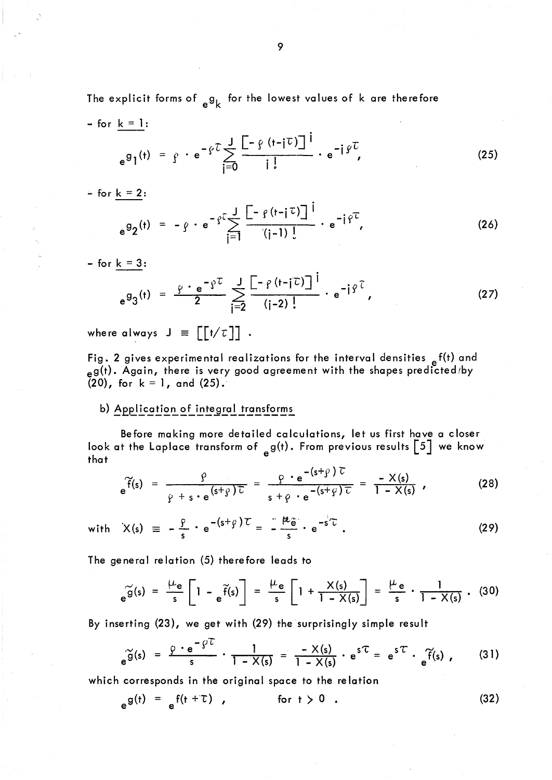The explicit forms of  ${g_k}$  for the lowest values of k are therefore  $-$  for  $k = 1$ :

$$
e^{g}1^{(t)} = f \cdot e^{-\varphi \cdot \overline{L}} \sum_{j=0}^{J} \frac{\left[-\varphi(t-j\overline{L})\right]^{j}}{j!} \cdot e^{-j\varphi \cdot \overline{L}}, \qquad (25)
$$

 $-$  for <u>k = 2</u>:

$$
e^{g_2(t)} = -g \cdot e^{-g^2} \sum_{j=1}^{J} \frac{\left[ -g(t-j^2) \right]^j}{(j-1)!} \cdot e^{-j g^2 t}, \qquad (26)
$$

- for  $k = 3$ :

$$
e^{g_3(t)} = \frac{\varphi \cdot e^{-\varphi t}}{2} \sum_{j=2}^{J} \frac{[-\varphi(t-j\tau)]^j}{(j-2)!} \cdot e^{-j\varphi \tau}, \qquad (27)
$$

where always  $J = [[t/\tau]]$ .

Fig. 2 gives experimental realizations for the interval densities  $e^{f(t)}$  and  $_{\rm e}$ g(t). Again, there is very good agreement with the shapes predicted/by  $(20)$ , for  $k = 1$ , and  $(25)$ .

### b) Application of integral transforms

Before making more detailed calculations, let us first have a closer look at the Laplace transform of  $_{e}$ g(t). From previous results [5] we know that

$$
e^{\widetilde{f}(s)} = \frac{\rho}{\rho + s \cdot e^{(s+\rho)\overline{L}}} = \frac{\rho \cdot e^{-(s+\rho)\overline{L}}}{s+\rho \cdot e^{-(s+\rho)\overline{L}}} = \frac{-X(s)}{1-X(s)}, \qquad (28)
$$

with 
$$
X(s) = -\frac{\rho}{s} \cdot e^{-(s+\rho) \tau} = -\frac{\mu}{s} \cdot e^{-s\tau}
$$
. (29)

The general relation (5) therefore leads to

$$
e^{\widetilde{g}(s)} = \frac{\mu_e}{s} \left[ 1 - e^{\widetilde{f}(s)} \right] = \frac{\mu_e}{s} \left[ 1 + \frac{\chi(s)}{1 - \chi(s)} \right] = \frac{\mu_e}{s} \cdot \frac{1}{1 - \chi(s)} \ . \tag{30}
$$

By inserting (23), we get with (29) the surprisingly simple result

$$
\widetilde{\mathfrak{g}}(s) = \frac{\rho \cdot e^{-\rho T}}{s} \cdot \frac{1}{1 - X(s)} = \frac{-X(s)}{1 - X(s)} \cdot e^{sT} = e^{sT} \cdot \widetilde{\mathfrak{g}}(s) , \qquad (31)
$$

which corresponds in the original space to the relation

$$
e^{g(t)} = e^{f(t + \tau)}, \qquad \text{for } t > 0. \qquad (32)
$$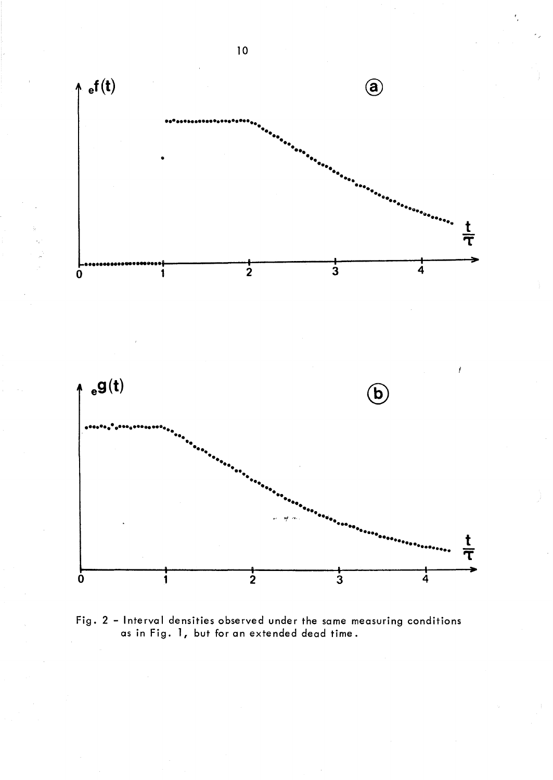

Fig. 2 - Interval densities observed under the same measuring conditions as in Fig. 1, but for an extended dead time.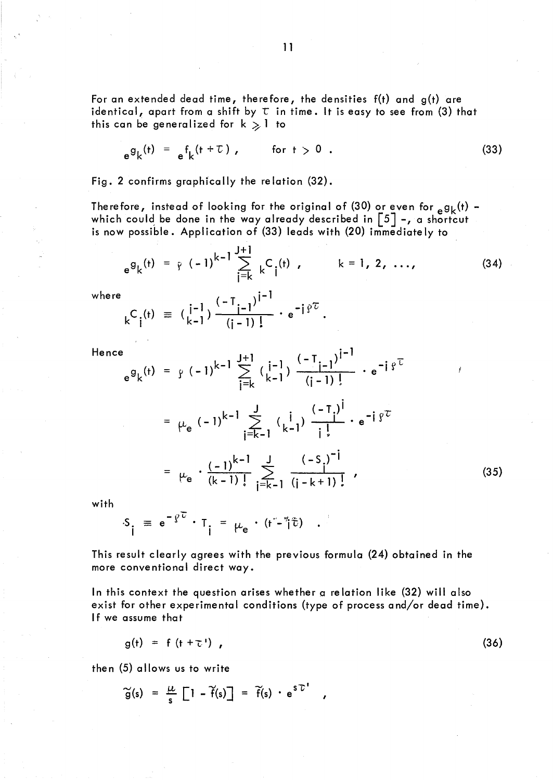For an extended dead time, therefore, the densities  $f(t)$  and  $g(t)$  are identical, apart from a shift by  $\tau$  in time. It is easy to see from (3) that this can be generalized for  $k \geqslant 1$  to

$$
e^{g}k^{(t)} = e^{f}k^{(t+\tau)}, \qquad \text{for } t > 0.
$$
 (33)

Fig. 2 confirms graphically the relation (32).

Therefore, instead of looking for the original of (30) or even for  $_{\rm e}$ g<sub>k</sub>(t) which could be done in the way already described in  $\left[5\right]$  -, a shortcut is now possible. Application of (33) leads with (20) immediate Iy to

$$
e^{g}k^{(t)} = \rho (-1)^{k-1} \sum_{j=k}^{J+1} {}_{k}C_{j}^{(t)}, \qquad k = 1, 2, ...,
$$
 (34)

where

$$
{}_{k}C_{i}^{(t)} = (\begin{matrix} i^{-1} \\ i^{-1} \end{matrix}) \frac{(-T_{i-1})^{i-1}}{(i-1)!} \cdot e^{-i \beta^{T}}.
$$

Hence

$$
e^{g}k^{(t)} = \gamma (-1)^{k-1} \sum_{j=k}^{J+1} \left(\frac{i-1}{k-1}\right) \frac{(-T_{j-1})^{j-1}}{(j-1)!} \cdot e^{-i \gamma^{T}}
$$
  
\n
$$
= \mu_{e} (-1)^{k-1} \sum_{j=k-1}^{J} \left(\frac{i}{k-1}\right) \frac{(-T_{j})^{j}}{j!} \cdot e^{-i \gamma^{T}}
$$
  
\n
$$
= \mu_{e} \cdot \frac{(-1)^{k-1}}{(k-1)!} \sum_{j=k-1}^{J} \frac{(-S_{j})^{-j}}{(j-k+1)!}, \qquad (35)
$$

with

$$
S_{\mathbf{i}} = e^{-\rho \overline{C}} \cdot T_{\mathbf{i}} = \mu_e \cdot (t - \overline{t}) \quad .
$$

This result clearly agrees with the previous formula (24) obtained in the more conventional direct way.

ln this context the question arises whether a relation like (32) will also exist for other experimental conditions (type of process and/or dead time). If we assume that

$$
g(t) = f(t + \tau') \tag{36}
$$

then (5) allows us to write

$$
\widetilde{g}(s) = \frac{\mu}{s} \left[1 - \widetilde{f}(s)\right] = \widetilde{f}(s) \cdot e^{S\widetilde{L}^{\prime}}
$$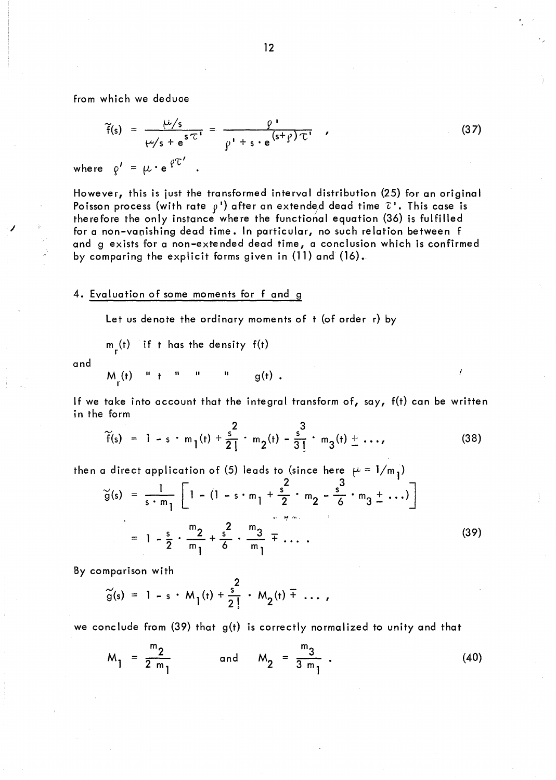from which we deduce

$$
\widetilde{f}(s) = \frac{\mu/s}{\mu/s + e^{s\tau}} = \frac{\rho}{\rho' + s \cdot e^{(s+\rho)\tau}} \qquad (37)
$$

where  $\rho' = \mu \cdot e^{\rho \tau'}$ 

However, this is just the transformed interval distribution (25) for an original Poisson process (with rate  $\rho'$ ) after an extended dead time  $\tau'$ . This case is therefore the only instance where the functional equation (36) is fulfilled for a non-vanishing dead time. In particular, no such relation between f and g exists for a non-extended dead time, a conclusion which is confirmed by comparing the explicit forms given in (11) and (16).

#### 4. Evaluation of some moments for f and g

Let us denote the ordinary moments of t (of order r) by

$$
m_{r}^{(t)}
$$
 if t has the density  $f(t)$ 

and

/

$$
M_{r}(t) \quad "l \quad t \quad "l \quad "l \quad g(t) .
$$

If we take into account that the integral transform of, say, f(t) can be written in the form

$$
\widetilde{f}(s) = 1 - s \cdot m_1(t) + \frac{s^2}{2!} \cdot m_2(t) - \frac{s^3}{3!} \cdot m_3(t) + \dots,
$$
 (38)

then a direct application of (5) leads to (since here  $\mu = 1/m_{1}$ )

$$
\tilde{g}(s) = \frac{1}{s \cdot m_1} \left[ 1 - (1 - s \cdot m_1 + \frac{s^2}{2} \cdot m_2 - \frac{s^3}{6} \cdot m_3 + \cdots) \right]
$$
  
=  $1 - \frac{s}{2} \cdot \frac{m_2}{m_1} + \frac{s^2}{6} \cdot \frac{m_3}{m_1} + \cdots$  (39)

By comparison with

$$
\widetilde{g}(s) = 1 - s \cdot M_1(t) + \frac{s^2}{2!} \cdot M_2(t) + \dots,
$$

we conclude from  $(39)$  that  $g(t)$  is correctly normalized to unity and that

$$
M_1 = \frac{m_2}{2 m_1} \quad \text{and} \quad M_2 = \frac{m_3}{3 m_1} \tag{40}
$$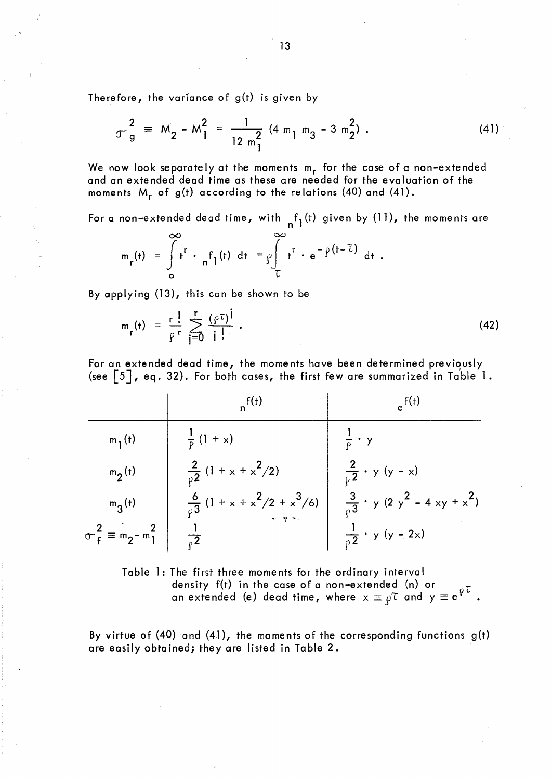Therefore, the variance of  $g(t)$  is given by

$$
\sigma_{g}^{2} \equiv M_{2} - M_{1}^{2} = \frac{1}{12 m_{1}^{2}} (4 m_{1} m_{3} - 3 m_{2}^{2}) . \qquad (41)
$$

We now look separately at the moments  $m_r$  for the case of a non-extended and an extended dead time as these are needed for the evaluation of the moments M<sub>r</sub> of g(t) according to the relations (40) and (41).

For a non-extended dead time, with  $n_1(t)$  given by (11), the moments are

$$
m_r(t) = \int_{0}^{\infty} t^r \cdot {}_n f_1(t) dt = \int_{0}^{\infty} t^r \cdot e^{-\int_{0}^{t} (t-\overline{t})} dt.
$$

By applying (13), this can be shown to be

$$
m_{r}(t) = \frac{r}{\rho} \sum_{i=0}^{r} \frac{(\rho \tau)^{i}}{i!} \tag{42}
$$

For an extended dead time, the moments have been determined previously (see  $\begin{bmatrix} 5 \end{bmatrix}$ , eq. 32). For both cases, the first few are summarized in Table 1.

|                            | $n^{f(t)}$                                                         | $e^{t(t)}$                                                         |
|----------------------------|--------------------------------------------------------------------|--------------------------------------------------------------------|
| $m_1(t)$                   | $\frac{1}{p}$ (1 + x)                                              | $\cdot$ y                                                          |
| $m_2(t)$                   | $\frac{2}{p^2}(1 + x + x^2/2)$                                     | $\frac{2}{\nu^2}$ · y (y - x)                                      |
| $m_3(t)$                   | $\frac{6}{\rho^3}$ (1 + x + x <sup>2</sup> /2 + x <sup>3</sup> /6) | $\frac{3}{\rho 3}$ · y (2 y <sup>2</sup> - 4 xy + x <sup>2</sup> ) |
| $\sigma_f^2 = m_2 - m_1^2$ |                                                                    | $\frac{1}{2}$ · y (y - 2x)                                         |

Table 1: The first three moments for the ordinary interval density  $f(t)$  in the case of a non-extended (n) or an extended (e) dead time, where  $x \equiv \rho^{\tau}$  and  $y \equiv e^{\rho \tau}$ .

By virtue of (40) and (41), the moments of the corresponding functions  $g(t)$ are easily obtained; they are listed in Table 2.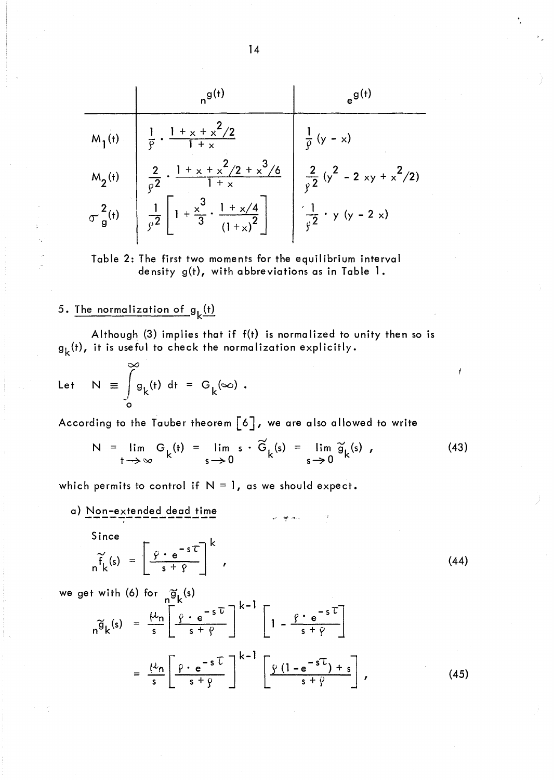$$
M_{1}(t) = \begin{pmatrix} 1 & 0 & 0 \\ \frac{1}{2} & \frac{1 + x + x^{2}}{1 + x} & \frac{1}{2} \\ \frac{2}{2} & \frac{1 + x + x^{2}}{1 + x} & \frac{2}{2} \\ \frac{2}{2} & \frac{1 + x + x^{2}}{1 + x} & \frac{2}{2} \\ \frac{2}{2} & \frac{2}{2} & \frac{1 + x + x^{2}}{1 + x} & \frac{2}{2} \\ \frac{2}{2} & \frac{2}{2} & \frac{2}{2} & \frac{2}{2} \\ \frac{2}{2} & \frac{2}{2} & \frac{2}{2} & \frac{2}{2} \end{pmatrix}
$$

Table 2: The first two moments for the equilibrium interval density g(t), with abbreviations as in Table 1.

# 5. The normalization of  $g_k(t)$

Although  $(3)$  implies that if  $f(t)$  is normalized to unity then so is  $g_k(t)$ , it is useful to check the normalization explicitly.

Let 
$$
N \equiv \int_{0}^{\infty} g_{k}(t) dt = G_{k}(\infty)
$$
.

According to the Tauber theorem  $\begin{bmatrix} 6 \end{bmatrix}$ , we are also allowed to write

$$
N = \lim_{t \to \infty} G_k(t) = \lim_{s \to 0} s \cdot \widetilde{G}_k(s) = \lim_{s \to 0} \widetilde{g}_k(s) , \qquad (43)
$$

Ĭ

which permits to control if  $N = 1$ , as we should expect.

a) Non-extended dead time

Since

$$
\widetilde{f}_{k}(s) = \left[ \frac{\varphi \cdot e^{-s\tau}}{s + \varphi} \right]^{k}, \qquad (44)
$$

 $\omega_{\rm c}$  , where  $\omega_{\rm c}$ 

we get with (6) for  $\tilde{g}_k(s)$ 

$$
n\widetilde{g}_k(s) = \frac{\mu_n}{s} \left[ \frac{\rho \cdot e^{-s\,\overline{U}}}{s + \rho} \right]^{k-1} \left[ 1 - \frac{\rho \cdot e^{-s\,\overline{U}}}{s + \rho} \right]
$$

$$
= \frac{\mu_n}{s} \left[ \frac{\rho \cdot e^{-s\,\overline{U}}}{s + \rho} \right]^{k-1} \left[ \frac{\rho (1 - e^{-s\,\overline{U}}) + s}{s + \rho} \right],
$$
(45)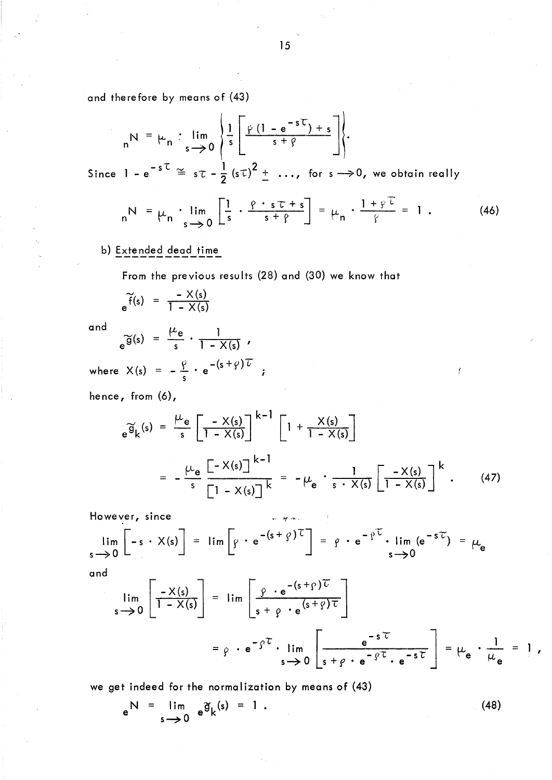and therefore by means of (43)

$$
{}_{n}N = \mu_{n} : \lim_{s \to 0} \left\{ \frac{1}{s} \left[ \frac{\rho (1 - e^{-sT}) + s}{s + \rho} \right] \right\}.
$$

Since  $1 - e^{-sC} \cong s\tau - \frac{1}{2}(s\tau)^2 + \dots$ , for  $s \rightarrow 0$ , we obtain really

$$
{}_{n}N = \mu_{n} \cdot \lim_{s \to 0} \left[ \frac{1}{s} \cdot \frac{\rho \cdot s \tau + s}{s + \rho} \right] = \mu_{n} \cdot \frac{1 + \varphi^{T}}{\varphi} = 1. \qquad (46)
$$

b) Extended dead time

From the previous results (28) and (30) we know that

$$
\widetilde{f}(s) = \frac{-X(s)}{1 - X(s)}
$$

and

$$
e^{\widetilde{g}(s)} = \frac{\mu_e}{s} \cdot \frac{1}{1 - X(s)},
$$

where  $X(s) = -\frac{\rho}{s} \cdot e^{-(s+\rho)\tau}$ ;

hence, from (6),

$$
e^{\widetilde{g}_k(s)} = \frac{\mu_e}{s} \left[ \frac{-X(s)}{1 - X(s)} \right]^{k-1} \left[ 1 + \frac{X(s)}{1 - X(s)} \right]
$$

$$
= -\frac{\mu_e}{s} \frac{\left[ -X(s) \right]^{k-1}}{\left[ 1 - X(s) \right]^{k}} = -\mu_e \cdot \frac{1}{s \cdot X(s)} \left[ \frac{-X(s)}{1 - X(s)} \right]^{k} . \tag{47}
$$

¥

However, since  
\n
$$
\lim_{s \to 0} \left[ -s \cdot X(s) \right] = \lim_{s \to 0} \left[ g \cdot e^{-(s+g) \tau} \right] = g \cdot e^{-\rho \tau} \cdot \lim_{s \to 0} (e^{-s \tau}) = \mu_e
$$

and

$$
\lim_{s \to 0} \left[ \frac{-X(s)}{1 - X(s)} \right] = \lim_{s \to 0} \left[ \frac{\rho \cdot e^{-(s + \rho) \tau}}{s + \rho \cdot e^{(s + \rho) \tau}} \right]
$$

$$
= \rho \cdot e^{-\rho \tau} \cdot \lim_{s \to 0} \left[ \frac{e^{-s \tau}}{s + \rho \cdot e^{-\rho \tau} \cdot e^{-s \tau}} \right] = \mu_e \cdot \frac{1}{\mu_e} = 1,
$$

we get indeed for the normalization by means of (43)

$$
e^N = \lim_{s \to 0} e^{\widetilde{g}} k^{(s)} = 1.
$$
 (48)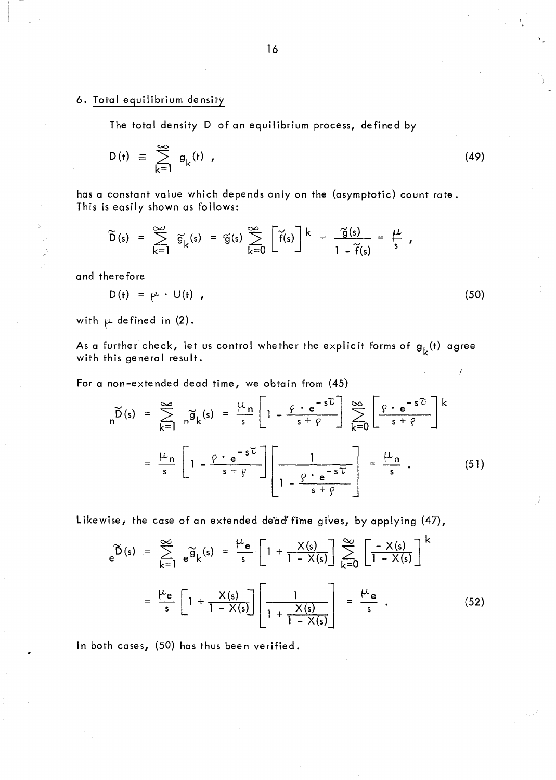### 6. Total equilibrium density

The total density D of an equilibrium process, defined by

$$
D(t) \equiv \sum_{k=1}^{\infty} g_k(t) \qquad (49)
$$

has a constant value which depends only on the (asymptotic) count rate. This is easily shown as follows:

$$
\widetilde{D}(s) = \sum_{k=1}^{\infty} \widetilde{g}_k(s) = \widetilde{g}(s) \sum_{k=0}^{\infty} \left[ \widetilde{f}(s) \right]^k = \frac{\widetilde{g}(s)}{1 - \widetilde{f}(s)} = \frac{\mu}{s},
$$

and therefore

$$
D(t) = \mu \cdot U(t) \tag{50}
$$

with  $\mu$  defined in (2).

As a further check, let us control whether the explicit forms of  $g_L^{}(t)$  agree with this general result.

For a non-extended dead time, we obtain from (45)

$$
\widetilde{D}(s) = \sum_{k=1}^{\infty} \widetilde{n\theta}_{k}(s) = \frac{\mu_{n}}{s} \left[ 1 - \frac{\rho \cdot e^{-s\tau}}{s + \rho} \right] \sum_{k=0}^{\infty} \left[ \frac{\rho \cdot e^{-s\tau}}{s + \rho} \right]^{k}
$$

$$
= \frac{\mu_{n}}{s} \left[ 1 - \frac{\rho \cdot e^{-s\tau}}{s + \rho} \right] \left[ \frac{1}{1 - \frac{\rho \cdot e^{-s\tau}}{s + \rho}} \right] = \frac{\mu_{n}}{s} . \tag{51}
$$

Likewise, the case of an extended de'ad' fime gives, by applying (47),

$$
e^{\widetilde{D}(s)} = \sum_{k=1}^{\infty} e^{\widetilde{g}} k^{(s)} = \frac{\mu_e}{s} \left[ 1 + \frac{\chi(s)}{1 - \chi(s)} \right] \sum_{k=0}^{\infty} \left[ \frac{-\chi(s)}{1 - \chi(s)} \right]^k
$$

$$
= \frac{\mu_e}{s} \left[ 1 + \frac{\chi(s)}{1 - \chi(s)} \right] \left[ \frac{1}{1 + \frac{\chi(s)}{1 - \chi(s)}} \right] = \frac{\mu_e}{s} . \tag{52}
$$

ln both cases, (50) has thus been verified.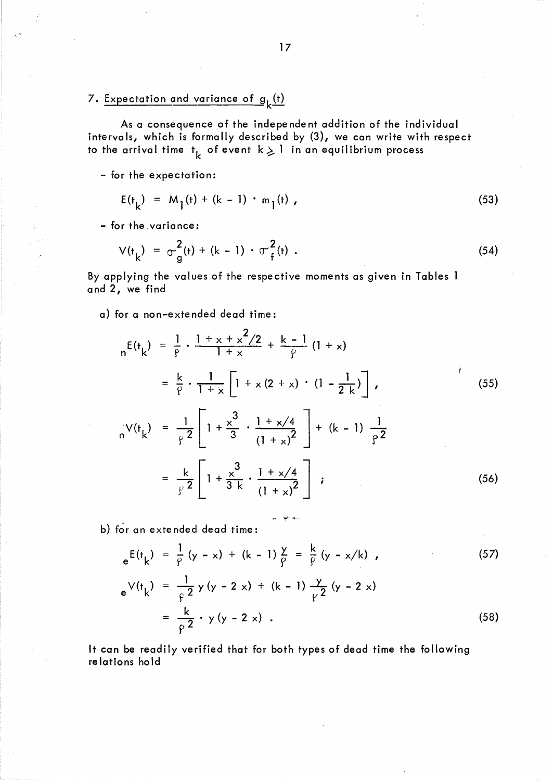# 7. Expectation and variance of  $g_k(t)$

As a consequence of the independent addition of the individual intervals, which is formally described by (3), we can write with respect to the arrival time  $\mathsf{t}_{\mathsf{k}}$  of event  $\mathsf{k}\geqslant\mathsf{l}$  in an equilibrium process

- for the expectation:

- <";"

$$
E(t_k) = M_1(t) + (k - 1) \cdot m_1(t), \qquad (53)
$$

- for the variance:

$$
V(t_k) = \sigma_g^2(t) + (k - 1) \cdot \sigma_f^2(t) \tag{54}
$$

By applying the values of the respective moments as given in Tables 1 and 2, we find

a) for a non-extended dead time:

$$
{}_{n}E(t_{k}) = \frac{1}{\rho} \cdot \frac{1 + x + x^{2}/2}{1 + x} + \frac{k - 1}{\rho} (1 + x)
$$
  
\n
$$
= \frac{k}{\rho} \cdot \frac{1}{1 + x} \left[1 + x(2 + x) \cdot (1 - \frac{1}{2k})\right],
$$
  
\n
$$
{}_{n}V(t_{k}) = \frac{1}{\rho^{2}} \left[1 + \frac{x^{3}}{3} \cdot \frac{1 + x/4}{(1 + x)^{2}}\right] + (k - 1) \frac{1}{\rho^{2}}
$$
  
\n
$$
= \frac{k}{\rho^{2}} \left[1 + \frac{x^{3}}{3k} \cdot \frac{1 + x/4}{(1 + x)^{2}}\right],
$$
  
\n(56)

b) for an extended dead time:

$$
e^{E(t_k)} = \frac{1}{\varphi} (y - x) + (k - 1) \frac{y}{\varphi} = \frac{k}{\varphi} (y - x/k) , \qquad (57)
$$

"#' wt" ..... ,

$$
e^{V(t_k)} = \frac{1}{\rho^2} y (y - 2 x) + (k - 1) \frac{y}{\rho^2} (y - 2 x)
$$
  
= 
$$
\frac{k}{\rho^2} \cdot y (y - 2 x) .
$$
 (58)

It can be readily verified that for both types of dead time the following re lations hold